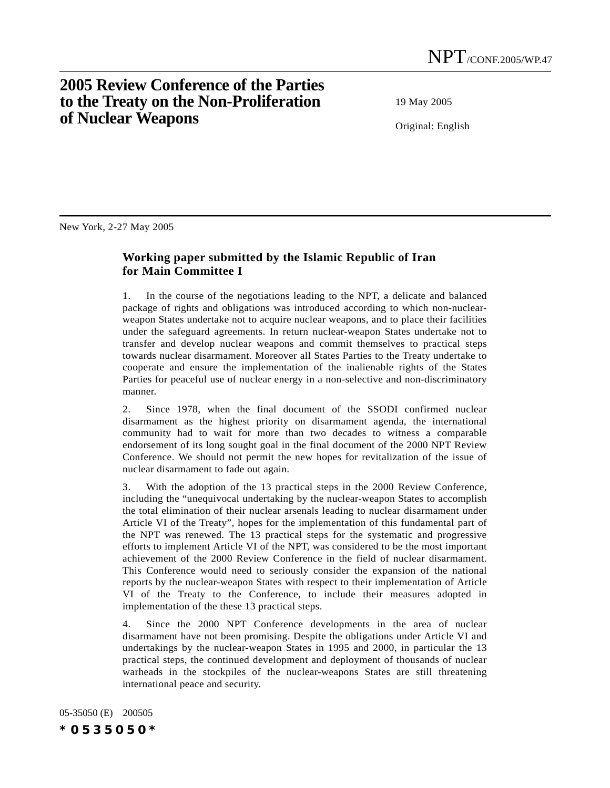## **2005 Review Conference of the Parties to the Treaty on the Non-Proliferation of Nuclear Weapons**

19 May 2005

Original: English

New York, 2-27 May 2005

## **Working paper submitted by the Islamic Republic of Iran for Main Committee I**

1. In the course of the negotiations leading to the NPT, a delicate and balanced package of rights and obligations was introduced according to which non-nuclearweapon States undertake not to acquire nuclear weapons, and to place their facilities under the safeguard agreements. In return nuclear-weapon States undertake not to transfer and develop nuclear weapons and commit themselves to practical steps towards nuclear disarmament. Moreover all States Parties to the Treaty undertake to cooperate and ensure the implementation of the inalienable rights of the States Parties for peaceful use of nuclear energy in a non-selective and non-discriminatory manner.

2. Since 1978, when the final document of the SSODI confirmed nuclear disarmament as the highest priority on disarmament agenda, the international community had to wait for more than two decades to witness a comparable endorsement of its long sought goal in the final document of the 2000 NPT Review Conference. We should not permit the new hopes for revitalization of the issue of nuclear disarmament to fade out again.

3. With the adoption of the 13 practical steps in the 2000 Review Conference, including the "unequivocal undertaking by the nuclear-weapon States to accomplish the total elimination of their nuclear arsenals leading to nuclear disarmament under Article VI of the Treaty", hopes for the implementation of this fundamental part of the NPT was renewed. The 13 practical steps for the systematic and progressive efforts to implement Article VI of the NPT, was considered to be the most important achievement of the 2000 Review Conference in the field of nuclear disarmament. This Conference would need to seriously consider the expansion of the national reports by the nuclear-weapon States with respect to their implementation of Article VI of the Treaty to the Conference, to include their measures adopted in implementation of the these 13 practical steps.

4. Since the 2000 NPT Conference developments in the area of nuclear disarmament have not been promising. Despite the obligations under Article VI and undertakings by the nuclear-weapon States in 1995 and 2000, in particular the 13 practical steps, the continued development and deployment of thousands of nuclear warheads in the stockpiles of the nuclear-weapons States are still threatening international peace and security.

05-35050 (E) 200505 *\*0535050\**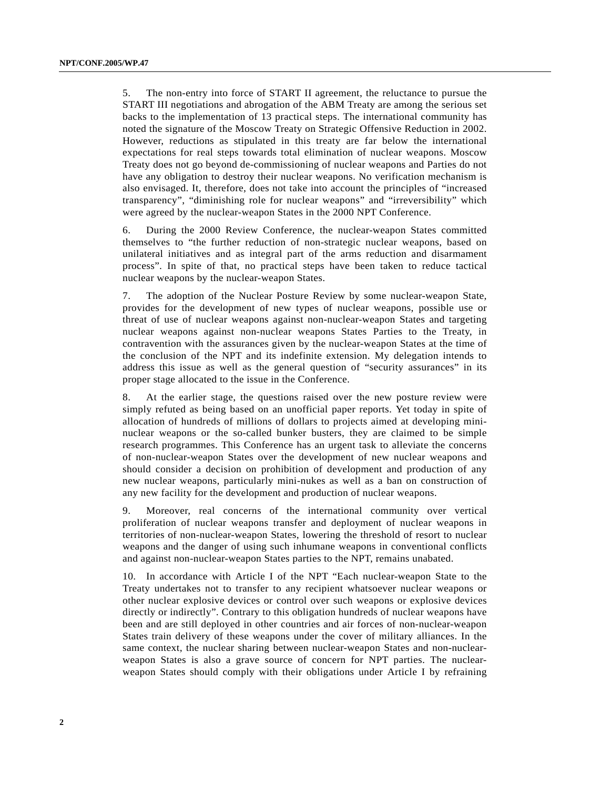5. The non-entry into force of START II agreement, the reluctance to pursue the START III negotiations and abrogation of the ABM Treaty are among the serious set backs to the implementation of 13 practical steps. The international community has noted the signature of the Moscow Treaty on Strategic Offensive Reduction in 2002. However, reductions as stipulated in this treaty are far below the international expectations for real steps towards total elimination of nuclear weapons. Moscow Treaty does not go beyond de-commissioning of nuclear weapons and Parties do not have any obligation to destroy their nuclear weapons. No verification mechanism is also envisaged. It, therefore, does not take into account the principles of "increased transparency", "diminishing role for nuclear weapons" and "irreversibility" which were agreed by the nuclear-weapon States in the 2000 NPT Conference.

6. During the 2000 Review Conference, the nuclear-weapon States committed themselves to "the further reduction of non-strategic nuclear weapons, based on unilateral initiatives and as integral part of the arms reduction and disarmament process". In spite of that, no practical steps have been taken to reduce tactical nuclear weapons by the nuclear-weapon States.

7. The adoption of the Nuclear Posture Review by some nuclear-weapon State, provides for the development of new types of nuclear weapons, possible use or threat of use of nuclear weapons against non-nuclear-weapon States and targeting nuclear weapons against non-nuclear weapons States Parties to the Treaty, in contravention with the assurances given by the nuclear-weapon States at the time of the conclusion of the NPT and its indefinite extension. My delegation intends to address this issue as well as the general question of "security assurances" in its proper stage allocated to the issue in the Conference.

8. At the earlier stage, the questions raised over the new posture review were simply refuted as being based on an unofficial paper reports. Yet today in spite of allocation of hundreds of millions of dollars to projects aimed at developing mininuclear weapons or the so-called bunker busters, they are claimed to be simple research programmes. This Conference has an urgent task to alleviate the concerns of non-nuclear-weapon States over the development of new nuclear weapons and should consider a decision on prohibition of development and production of any new nuclear weapons, particularly mini-nukes as well as a ban on construction of any new facility for the development and production of nuclear weapons.

9. Moreover, real concerns of the international community over vertical proliferation of nuclear weapons transfer and deployment of nuclear weapons in territories of non-nuclear-weapon States, lowering the threshold of resort to nuclear weapons and the danger of using such inhumane weapons in conventional conflicts and against non-nuclear-weapon States parties to the NPT, remains unabated.

10. In accordance with Article I of the NPT "Each nuclear-weapon State to the Treaty undertakes not to transfer to any recipient whatsoever nuclear weapons or other nuclear explosive devices or control over such weapons or explosive devices directly or indirectly". Contrary to this obligation hundreds of nuclear weapons have been and are still deployed in other countries and air forces of non-nuclear-weapon States train delivery of these weapons under the cover of military alliances. In the same context, the nuclear sharing between nuclear-weapon States and non-nuclearweapon States is also a grave source of concern for NPT parties. The nuclearweapon States should comply with their obligations under Article I by refraining